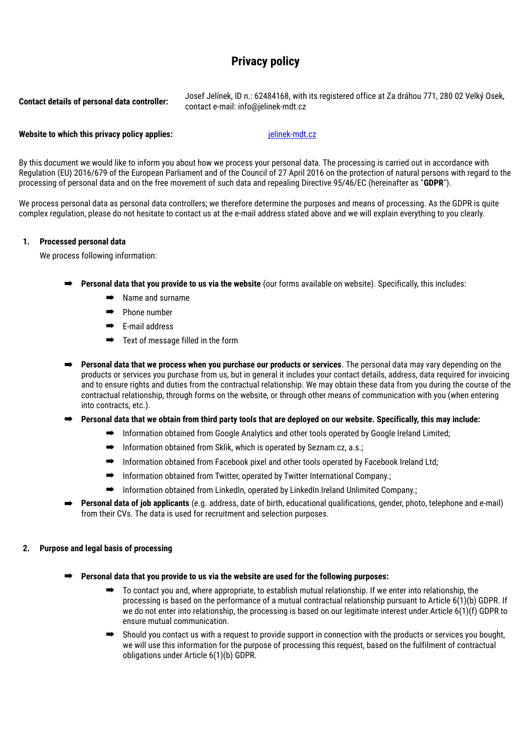# **Privacy policy**

**Contact details of personal data controller:** Josef Jelínek, ID n.: 62484168, with its registered office at Za dráhou 771, 280 02 Velký Osek, contact e-mail: info@jelinek-mdt.cz

# **Website to which this privacy policy applies:**  $\qquad \qquad$  [jelinek-mdt.cz](http://jelinek-mdt.cz)

By this document we would like to inform you about how we process your personal data. The processing is carried out in accordance with Regulation (EU) 2016/679 of the European Parliament and of the Council of 27 April 2016 on the protection of natural persons with regard to the processing of personal data and on the free movement of such data and repealing Directive 95/46/EC (hereinafter as "**GDPR**").

We process personal data as personal data controllers; we therefore determine the purposes and means of processing. As the GDPR is quite complex regulation, please do not hesitate to contact us at the e-mail address stated above and we will explain everything to you clearly.

## **1. Processed personal data**

We process following information:

- ➡ **Personal data that you provide to us via the website** (our forms available on website). Specifically, this includes:
	- Name and surname
	- ➡ Phone number
	- ➡ E-mail address
	- ➡ Text of message filled in the form
- ➡ **Personal data that we process when you purchase our products or services**. The personal data may vary depending on the products or services you purchase from us, but in general it includes your contact details, address, data required for invoicing and to ensure rights and duties from the contractual relationship. We may obtain these data from you during the course of the contractual relationship, through forms on the website, or through other means of communication with you (when entering into contracts, etc.).
- ➡ **Personal data that we obtain from third party tools that are deployed on our website. Specifically, this may include:**
	- ➡ Information obtained from Google Analytics and other tools operated by Google Ireland Limited;
	- $\rightarrow$  Information obtained from Sklik, which is operated by Seznam.cz, a.s.;
	- ➡ Information obtained from Facebook pixel and other tools operated by Facebook Ireland Ltd;
	- ➡ Information obtained from Twitter, operated by Twitter International Company.;
	- $\rightarrow$  Information obtained from LinkedIn, operated by LinkedIn Ireland Unlimited Company.:
- ➡ **Personal data of job applicants** (e.g. address, date of birth, educational qualifications, gender, photo, telephone and e-mail) from their CVs. The data is used for recruitment and selection purposes.

## **2. Purpose and legal basis of processing**

- ➡ **Personal data that you provide to us via the website are used for the following purposes:**
	- ➡ To contact you and, where appropriate, to establish mutual relationship. If we enter into relationship, the processing is based on the performance of a mutual contractual relationship pursuant to Article 6(1)(b) GDPR. If we do not enter into relationship, the processing is based on our legitimate interest under Article 6(1)(f) GDPR to ensure mutual communication.
	- Should you contact us with a request to provide support in connection with the products or services you bought, we will use this information for the purpose of processing this request, based on the fulfilment of contractual obligations under Article 6(1)(b) GDPR.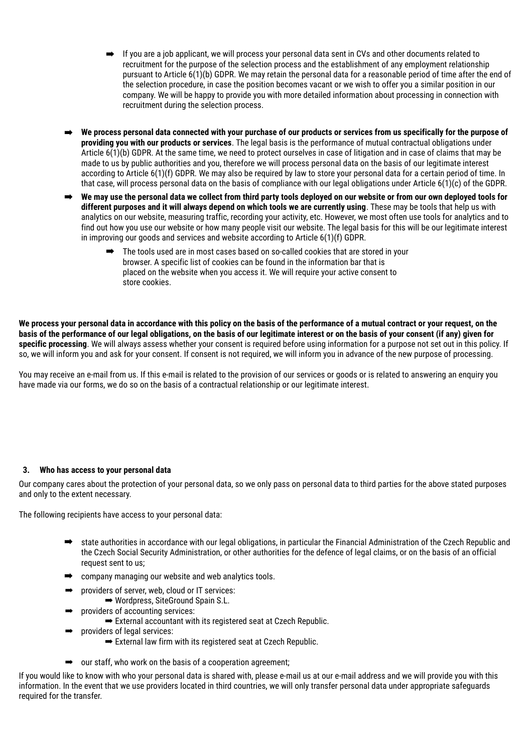- ➡ If you are a job applicant, we will process your personal data sent in CVs and other documents related to recruitment for the purpose of the selection process and the establishment of any employment relationship pursuant to Article 6(1)(b) GDPR. We may retain the personal data for a reasonable period of time after the end of the selection procedure, in case the position becomes vacant or we wish to offer you a similar position in our company. We will be happy to provide you with more detailed information about processing in connection with recruitment during the selection process.
- ➡ **We process personal data connected with your purchase of our products or services from us specifically for the purpose of providing you with our products or services**. The legal basis is the performance of mutual contractual obligations under Article 6(1)(b) GDPR. At the same time, we need to protect ourselves in case of litigation and in case of claims that may be made to us by public authorities and you, therefore we will process personal data on the basis of our legitimate interest according to Article 6(1)(f) GDPR. We may also be required by law to store your personal data for a certain period of time. In that case, will process personal data on the basis of compliance with our legal obligations under Article 6(1)(c) of the GDPR.
- ➡ **We may use the personal data we collect from third party tools deployed on our website or from our own deployed tools for different purposes and it will always depend on which tools we are currently using**. These may be tools that help us with analytics on our website, measuring traffic, recording your activity, etc. However, we most often use tools for analytics and to find out how you use our website or how many people visit our website. The legal basis for this will be our legitimate interest in improving our goods and services and website according to Article 6(1)(f) GDPR.
	- ➡ The tools used are in most cases based on so-called cookies that are stored in your browser. A specific list of cookies can be found in the information bar that is placed on the website when you access it. We will require your active consent to store cookies.

**We process your personal data in accordance with this policy on the basis of the performance of a mutual contract or your request, on the basis of the performance of our legal obligations, on the basis of our legitimate interest or on the basis of your consent (if any) given for specific processing**. We will always assess whether your consent is required before using information for a purpose not set out in this policy. If so, we will inform you and ask for your consent. If consent is not required, we will inform you in advance of the new purpose of processing.

You may receive an e-mail from us. If this e-mail is related to the provision of our services or goods or is related to answering an enquiry you have made via our forms, we do so on the basis of a contractual relationship or our legitimate interest.

# **3. Who has access to your personal data**

Our company cares about the protection of your personal data, so we only pass on personal data to third parties for the above stated purposes and only to the extent necessary.

The following recipients have access to your personal data:

- state authorities in accordance with our legal obligations, in particular the Financial Administration of the Czech Republic and the Czech Social Security Administration, or other authorities for the defence of legal claims, or on the basis of an official request sent to us;
- ➡ company managing our website and web analytics tools.
	- providers of server, web, cloud or IT services:
		- ➡ Wordpress, SiteGround Spain S.L.
- providers of accounting services:
	- ➡ External accountant with its registered seat at Czech Republic.
- providers of legal services:
	- $\rightarrow$  External law firm with its registered seat at Czech Republic.
- $\rightarrow$  our staff, who work on the basis of a cooperation agreement;

If you would like to know with who your personal data is shared with, please e-mail us at our e-mail address and we will provide you with this information. In the event that we use providers located in third countries, we will only transfer personal data under appropriate safeguards required for the transfer.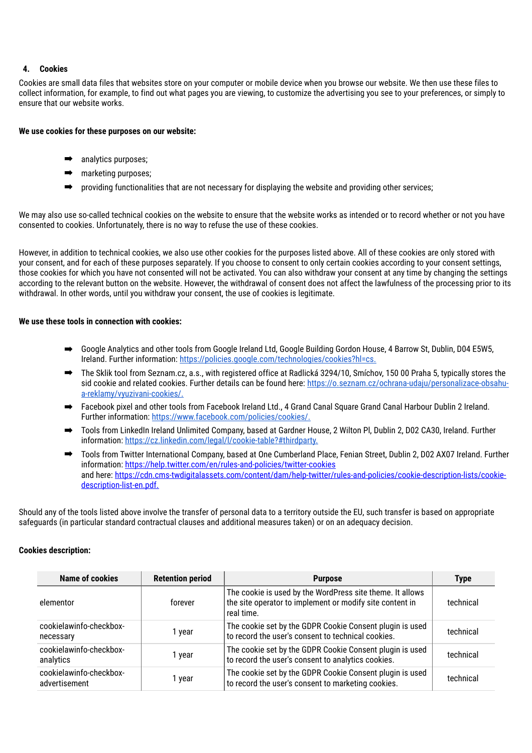# **4. Cookies**

Cookies are small data files that websites store on your computer or mobile device when you browse our website. We then use these files to collect information, for example, to find out what pages you are viewing, to customize the advertising you see to your preferences, or simply to ensure that our website works.

## **We use cookies for these purposes on our website:**

- analytics purposes;
- marketing purposes:
- providing functionalities that are not necessary for displaying the website and providing other services;

We may also use so-called technical cookies on the website to ensure that the website works as intended or to record whether or not you have consented to cookies. Unfortunately, there is no way to refuse the use of these cookies.

However, in addition to technical cookies, we also use other cookies for the purposes listed above. All of these cookies are only stored with your consent, and for each of these purposes separately. If you choose to consent to only certain cookies according to your consent settings, those cookies for which you have not consented will not be activated. You can also withdraw your consent at any time by changing the settings according to the relevant button on the website. However, the withdrawal of consent does not affect the lawfulness of the processing prior to its withdrawal. In other words, until you withdraw your consent, the use of cookies is legitimate.

## **We use these tools in connection with cookies:**

- ➡ Google Analytics and other tools from Google Ireland Ltd, Google Building Gordon House, 4 Barrow St, Dublin, D04 E5W5, Ireland. Further information: https://policies.google.com/technologies/cookies?hl=cs.
- ➡ The Sklik tool from Seznam.cz, a.s., with registered office at Radlická 3294/10, Smíchov, 150 00 Praha 5, typically stores the sid cookie and related cookies. Further details can be found here: https://o.seznam.cz/ochrana-udaju/personalizace-obsahua-reklamy/vyuzivani-cookies/.
- ➡ Facebook pixel and other tools from Facebook Ireland Ltd., 4 Grand Canal Square Grand Canal Harbour Dublin 2 Ireland. Further information: https://www.facebook.com/policies/cookies/.
- ➡ Tools from LinkedIn Ireland Unlimited Company, based at Gardner House, 2 Wilton Pl, Dublin 2, D02 CA30, Ireland. Further information: https://cz.linkedin.com/legal/l/cookie-table?#thirdparty.
- ➡ Tools from Twitter International Company, based at One Cumberland Place, Fenian Street, Dublin 2, D02 AX07 Ireland. Further information: https://help.twitter.com/en/rules-and-policies/twitter-cookies and here: https://cdn.cms-twdigitalassets.com/content/dam/help-twitter/rules-and-policies/cookie-description-lists/cookiedescription-list-en.pdf.

Should any of the tools listed above involve the transfer of personal data to a territory outside the EU, such transfer is based on appropriate safeguards (in particular standard contractual clauses and additional measures taken) or on an adequacy decision.

## **Cookies description:**

| Name of cookies                          | <b>Retention period</b> | <b>Purpose</b>                                                                                                                      | <b>Type</b> |
|------------------------------------------|-------------------------|-------------------------------------------------------------------------------------------------------------------------------------|-------------|
| elementor                                | forever                 | The cookie is used by the WordPress site theme. It allows<br>the site operator to implement or modify site content in<br>real time. | technical   |
| cookielawinfo-checkbox-<br>necessary     | 1 year                  | The cookie set by the GDPR Cookie Consent plugin is used<br>to record the user's consent to technical cookies.                      | technical   |
| cookielawinfo-checkbox-<br>analytics     | 1 year                  | The cookie set by the GDPR Cookie Consent plugin is used<br>to record the user's consent to analytics cookies.                      | technical   |
| cookielawinfo-checkbox-<br>advertisement | 1 year                  | The cookie set by the GDPR Cookie Consent plugin is used<br>to record the user's consent to marketing cookies.                      | technical   |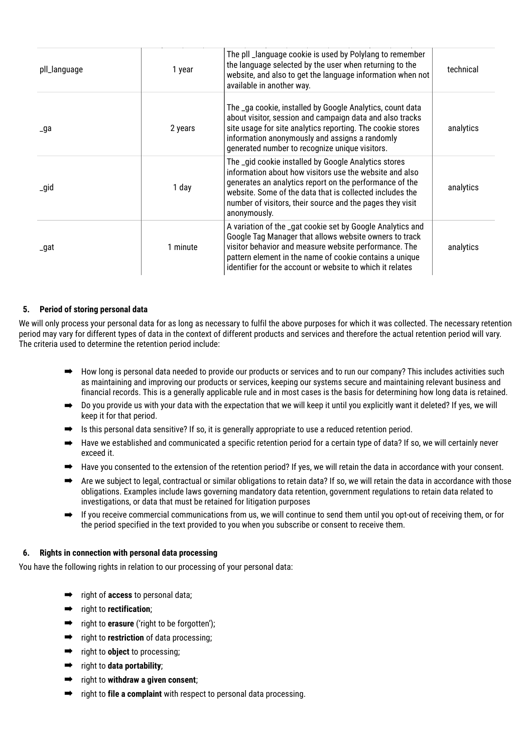| pll_language | 1 year   | The pll_language cookie is used by Polylang to remember<br>the language selected by the user when returning to the<br>website, and also to get the language information when not<br>available in another way.                                                                                                       | technical |
|--------------|----------|---------------------------------------------------------------------------------------------------------------------------------------------------------------------------------------------------------------------------------------------------------------------------------------------------------------------|-----------|
| _ga          | 2 years  | The _ga cookie, installed by Google Analytics, count data<br>about visitor, session and campaign data and also tracks<br>site usage for site analytics reporting. The cookie stores<br>information anonymously and assigns a randomly<br>generated number to recognize unique visitors.                             | analytics |
| _gid         | 1 day    | The _gid cookie installed by Google Analytics stores<br>information about how visitors use the website and also<br>generates an analytics report on the performance of the<br>website. Some of the data that is collected includes the<br>number of visitors, their source and the pages they visit<br>anonymously. | analytics |
| _gat         | 1 minute | A variation of the _gat cookie set by Google Analytics and<br>Google Tag Manager that allows website owners to track<br>visitor behavior and measure website performance. The<br>pattern element in the name of cookie contains a unique<br>identifier for the account or website to which it relates               | analytics |

# **5. Period of storing personal data**

We will only process your personal data for as long as necessary to fulfil the above purposes for which it was collected. The necessary retention period may vary for different types of data in the context of different products and services and therefore the actual retention period will vary. The criteria used to determine the retention period include:

- ➡ How long is personal data needed to provide our products or services and to run our company? This includes activities such as maintaining and improving our products or services, keeping our systems secure and maintaining relevant business and financial records. This is a generally applicable rule and in most cases is the basis for determining how long data is retained.
- → Do you provide us with your data with the expectation that we will keep it until you explicitly want it deleted? If yes, we will keep it for that period.
- $\Rightarrow$  Is this personal data sensitive? If so, it is generally appropriate to use a reduced retention period.
- ➡ Have we established and communicated a specific retention period for a certain type of data? If so, we will certainly never exceed it.
- $\rightarrow$  Have you consented to the extension of the retention period? If yes, we will retain the data in accordance with your consent.
- ➡ Are we subject to legal, contractual or similar obligations to retain data? If so, we will retain the data in accordance with those obligations. Examples include laws governing mandatory data retention, government regulations to retain data related to investigations, or data that must be retained for litigation purposes
- $\rightarrow$  If you receive commercial communications from us, we will continue to send them until you opt-out of receiving them, or for the period specified in the text provided to you when you subscribe or consent to receive them.

# **6. Rights in connection with personal data processing**

You have the following rights in relation to our processing of your personal data:

- ➡ right of **access** to personal data;
- ➡ right to **rectification**;
- ➡ right to **erasure** ('right to be forgotten');
- ➡ right to **restriction** of data processing;
- ➡ right to **object** to processing;
- ➡ right to **data portability**;
- ➡ right to **withdraw a given consent**;
- ➡ right to **file a complaint** with respect to personal data processing.